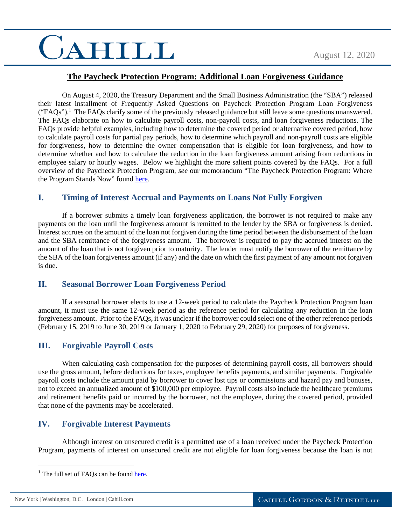# CAHILL

## **The Paycheck Protection Program: Additional Loan Forgiveness Guidance**

On August 4, 2020, the Treasury Department and the Small Business Administration (the "SBA") released their latest installment of Frequently Asked Questions on Paycheck Protection Program Loan Forgiveness  $("FAQs").$ <sup>1</sup> The FAQs clarify some of the previously released guidance but still leave some questions unanswered. The FAQs elaborate on how to calculate payroll costs, non-payroll costs, and loan forgiveness reductions. The FAQs provide helpful examples, including how to determine the covered period or alternative covered period, how to calculate payroll costs for partial pay periods, how to determine which payroll and non-payroll costs are eligible for forgiveness, how to determine the owner compensation that is eligible for loan forgiveness, and how to determine whether and how to calculate the reduction in the loan forgiveness amount arising from reductions in employee salary or hourly wages. Below we highlight the more salient points covered by the FAQs. For a full overview of the Paycheck Protection Program, *see* our memorandum "The Paycheck Protection Program: Where the Program Stands Now" found [here.](https://www.cahill.com/publications/covid-19-insights/2020-07-24-the-paycheck-protection-program-where-the-program-stands-now)

## **I. Timing of Interest Accrual and Payments on Loans Not Fully Forgiven**

If a borrower submits a timely loan forgiveness application, the borrower is not required to make any payments on the loan until the forgiveness amount is remitted to the lender by the SBA or forgiveness is denied. Interest accrues on the amount of the loan not forgiven during the time period between the disbursement of the loan and the SBA remittance of the forgiveness amount. The borrower is required to pay the accrued interest on the amount of the loan that is not forgiven prior to maturity. The lender must notify the borrower of the remittance by the SBA of the loan forgiveness amount (if any) and the date on which the first payment of any amount not forgiven is due.

#### **II. Seasonal Borrower Loan Forgiveness Period**

If a seasonal borrower elects to use a 12-week period to calculate the Paycheck Protection Program loan amount, it must use the same 12-week period as the reference period for calculating any reduction in the loan forgiveness amount. Prior to the FAQs, it was unclear if the borrower could select one of the other reference periods (February 15, 2019 to June 30, 2019 or January 1, 2020 to February 29, 2020) for purposes of forgiveness.

## **III. Forgivable Payroll Costs**

When calculating cash compensation for the purposes of determining payroll costs, all borrowers should use the gross amount, before deductions for taxes, employee benefits payments, and similar payments. Forgivable payroll costs include the amount paid by borrower to cover lost tips or commissions and hazard pay and bonuses, not to exceed an annualized amount of \$100,000 per employee. Payroll costs also include the healthcare premiums and retirement benefits paid or incurred by the borrower, not the employee, during the covered period, provided that none of the payments may be accelerated.

## **IV. Forgivable Interest Payments**

Although interest on unsecured credit is a permitted use of a loan received under the Paycheck Protection Program, payments of interest on unsecured credit are not eligible for loan forgiveness because the loan is not

 $\overline{a}$ 

<sup>&</sup>lt;sup>1</sup> The full set of FAQs can be found [here.](https://home.treasury.gov/system/files/136/PPP--Loan-Forgiveness-FAQs.pdf)